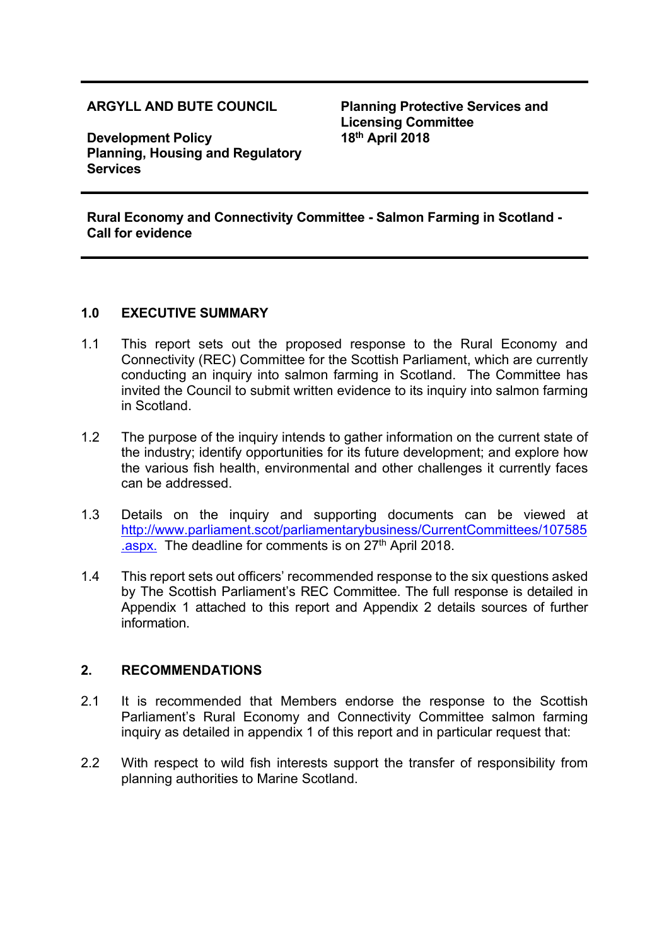**ARGYLL AND BUTE COUNCIL Planning Protective Services and Licensing Committee 18 th April 2018**

**Development Policy Planning, Housing and Regulatory Services**

**Rural Economy and Connectivity Committee - Salmon Farming in Scotland - Call for evidence**

#### **1.0 EXECUTIVE SUMMARY**

- 1.1 This report sets out the proposed response to the Rural Economy and Connectivity (REC) Committee for the Scottish Parliament, which are currently conducting an inquiry into salmon farming in Scotland. The Committee has invited the Council to submit written evidence to its inquiry into salmon farming in Scotland.
- 1.2 The purpose of the inquiry intends to gather information on the current state of the industry; identify opportunities for its future development; and explore how the various fish health, environmental and other challenges it currently faces can be addressed.
- 1.3 Details on the inquiry and supporting documents can be viewed at [http://www.parliament.scot/parliamentarybusiness/CurrentCommittees/107585](http://www.parliament.scot/parliamentarybusiness/CurrentCommittees/107585.aspx) [.aspx.](http://www.parliament.scot/parliamentarybusiness/CurrentCommittees/107585.aspx) The deadline for comments is on 27<sup>th</sup> April 2018.
- 1.4 This report sets out officers' recommended response to the six questions asked by The Scottish Parliament's REC Committee. The full response is detailed in Appendix 1 attached to this report and Appendix 2 details sources of further information.

## **2. RECOMMENDATIONS**

- 2.1 It is recommended that Members endorse the response to the Scottish Parliament's Rural Economy and Connectivity Committee salmon farming inquiry as detailed in appendix 1 of this report and in particular request that:
- 2.2 With respect to wild fish interests support the transfer of responsibility from planning authorities to Marine Scotland.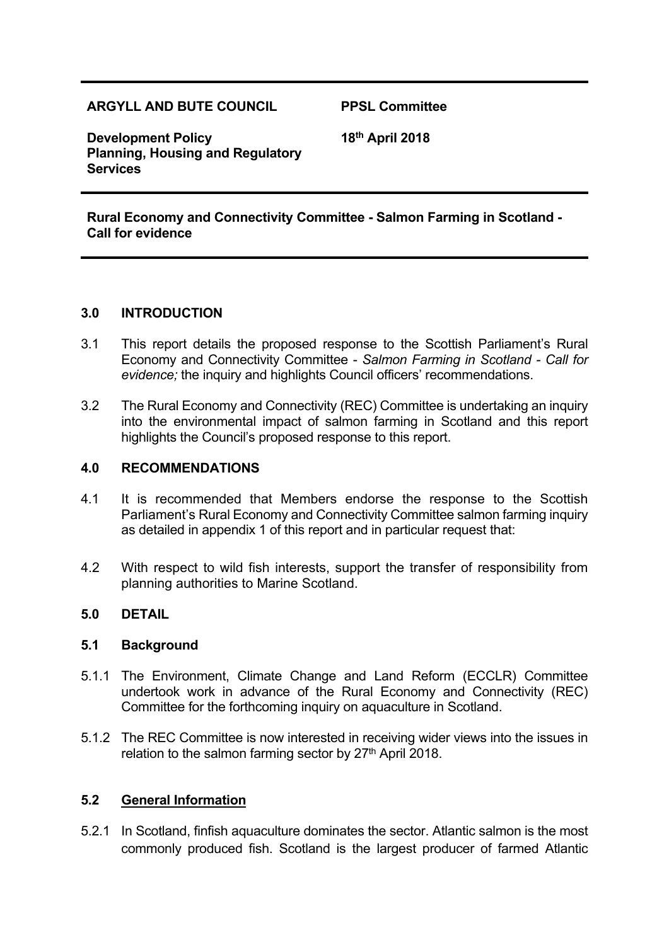#### **ARGYLL AND BUTE COUNCIL PPSL Committee**

**18 th April 2018**

**Development Policy Planning, Housing and Regulatory Services**

**Rural Economy and Connectivity Committee - Salmon Farming in Scotland - Call for evidence**

#### **3.0 INTRODUCTION**

- 3.1 This report details the proposed response to the Scottish Parliament's Rural Economy and Connectivity Committee - *Salmon Farming in Scotland - Call for evidence;* the inquiry and highlights Council officers' recommendations.
- 3.2 The Rural Economy and Connectivity (REC) Committee is undertaking an inquiry into the environmental impact of salmon farming in Scotland and this report highlights the Council's proposed response to this report.

#### **4.0 RECOMMENDATIONS**

- 4.1 It is recommended that Members endorse the response to the Scottish Parliament's Rural Economy and Connectivity Committee salmon farming inquiry as detailed in appendix 1 of this report and in particular request that:
- 4.2 With respect to wild fish interests, support the transfer of responsibility from planning authorities to Marine Scotland.

## **5.0 DETAIL**

#### **5.1 Background**

- 5.1.1 The Environment, Climate Change and Land Reform (ECCLR) Committee undertook work in advance of the Rural Economy and Connectivity (REC) Committee for the forthcoming inquiry on aquaculture in Scotland.
- 5.1.2 The REC Committee is now interested in receiving wider views into the issues in relation to the salmon farming sector by 27<sup>th</sup> April 2018.

#### **5.2 General Information**

5.2.1 In Scotland, finfish aquaculture dominates the sector. Atlantic salmon is the most commonly produced fish. Scotland is the largest producer of farmed Atlantic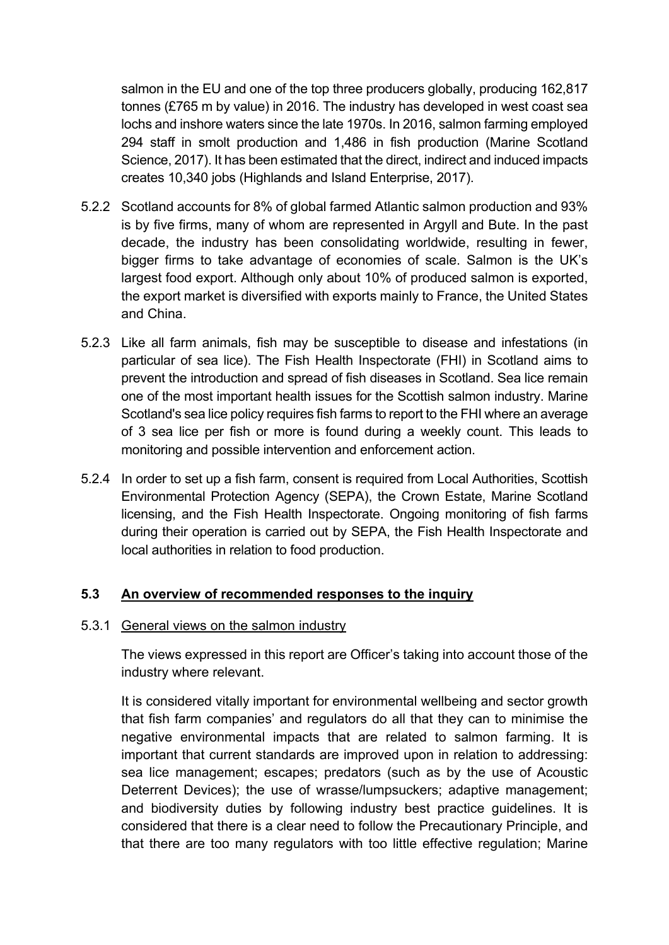salmon in the EU and one of the top three producers globally, producing 162,817 tonnes (£765 m by value) in 2016. The industry has developed in west coast sea lochs and inshore waters since the late 1970s. In 2016, salmon farming employed 294 staff in smolt production and 1,486 in fish production (Marine Scotland Science, 2017). It has been estimated that the direct, indirect and induced impacts creates 10,340 jobs (Highlands and Island Enterprise, 2017).

- 5.2.2 Scotland accounts for 8% of global farmed Atlantic salmon production and 93% is by five firms, many of whom are represented in Argyll and Bute. In the past decade, the industry has been consolidating worldwide, resulting in fewer, bigger firms to take advantage of economies of scale. Salmon is the UK's largest food export. Although only about 10% of produced salmon is exported, the export market is diversified with exports mainly to France, the United States and China.
- 5.2.3 Like all farm animals, fish may be susceptible to disease and infestations (in particular of sea lice). The Fish Health Inspectorate (FHI) in Scotland aims to prevent the introduction and spread of fish diseases in Scotland. Sea lice remain one of the most important health issues for the Scottish salmon industry. Marine Scotland's sea lice policy requires fish farms to report to the FHI where an average of 3 sea lice per fish or more is found during a weekly count. This leads to monitoring and possible intervention and enforcement action.
- 5.2.4 In order to set up a fish farm, consent is required from Local Authorities, Scottish Environmental Protection Agency (SEPA), the Crown Estate, Marine Scotland licensing, and the Fish Health Inspectorate. Ongoing monitoring of fish farms during their operation is carried out by SEPA, the Fish Health Inspectorate and local authorities in relation to food production.

## **5.3 An overview of recommended responses to the inquiry**

#### 5.3.1 General views on the salmon industry

The views expressed in this report are Officer's taking into account those of the industry where relevant.

It is considered vitally important for environmental wellbeing and sector growth that fish farm companies' and regulators do all that they can to minimise the negative environmental impacts that are related to salmon farming. It is important that current standards are improved upon in relation to addressing: sea lice management; escapes; predators (such as by the use of Acoustic Deterrent Devices); the use of wrasse/lumpsuckers; adaptive management; and biodiversity duties by following industry best practice guidelines. It is considered that there is a clear need to follow the Precautionary Principle, and that there are too many regulators with too little effective regulation; Marine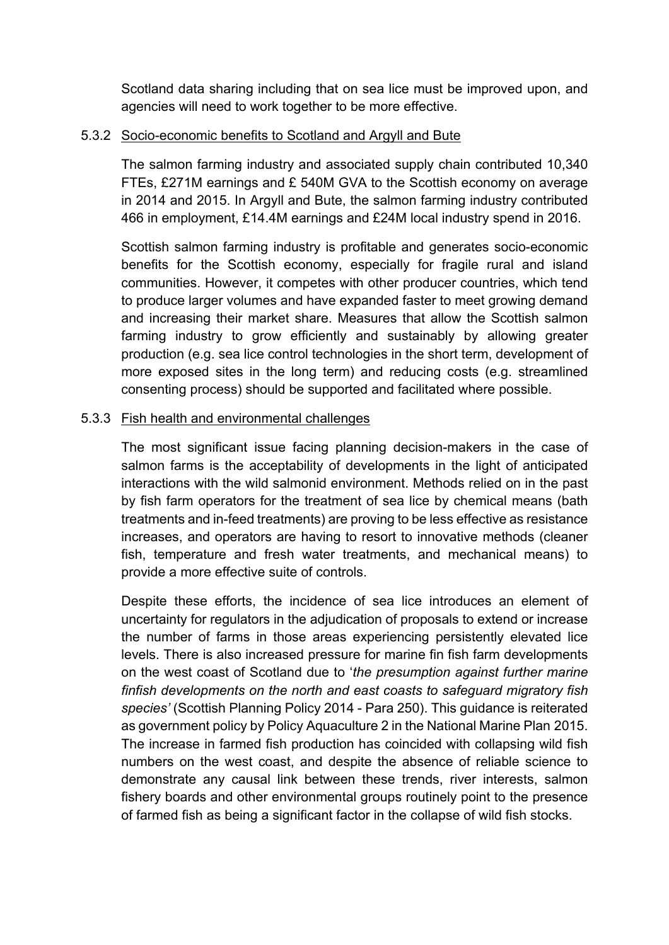Scotland data sharing including that on sea lice must be improved upon, and agencies will need to work together to be more effective.

#### 5.3.2 Socio-economic benefits to Scotland and Argyll and Bute

The salmon farming industry and associated supply chain contributed 10,340 FTEs, £271M earnings and £ 540M GVA to the Scottish economy on average in 2014 and 2015. In Argyll and Bute, the salmon farming industry contributed 466 in employment, £14.4M earnings and £24M local industry spend in 2016.

Scottish salmon farming industry is profitable and generates socio-economic benefits for the Scottish economy, especially for fragile rural and island communities. However, it competes with other producer countries, which tend to produce larger volumes and have expanded faster to meet growing demand and increasing their market share. Measures that allow the Scottish salmon farming industry to grow efficiently and sustainably by allowing greater production (e.g. sea lice control technologies in the short term, development of more exposed sites in the long term) and reducing costs (e.g. streamlined consenting process) should be supported and facilitated where possible.

## 5.3.3 Fish health and environmental challenges

The most significant issue facing planning decision-makers in the case of salmon farms is the acceptability of developments in the light of anticipated interactions with the wild salmonid environment. Methods relied on in the past by fish farm operators for the treatment of sea lice by chemical means (bath treatments and in-feed treatments) are proving to be less effective as resistance increases, and operators are having to resort to innovative methods (cleaner fish, temperature and fresh water treatments, and mechanical means) to provide a more effective suite of controls.

Despite these efforts, the incidence of sea lice introduces an element of uncertainty for regulators in the adjudication of proposals to extend or increase the number of farms in those areas experiencing persistently elevated lice levels. There is also increased pressure for marine fin fish farm developments on the west coast of Scotland due to '*the presumption against further marine finfish developments on the north and east coasts to safeguard migratory fish species'* (Scottish Planning Policy 2014 - Para 250). This guidance is reiterated as government policy by Policy Aquaculture 2 in the National Marine Plan 2015. The increase in farmed fish production has coincided with collapsing wild fish numbers on the west coast, and despite the absence of reliable science to demonstrate any causal link between these trends, river interests, salmon fishery boards and other environmental groups routinely point to the presence of farmed fish as being a significant factor in the collapse of wild fish stocks.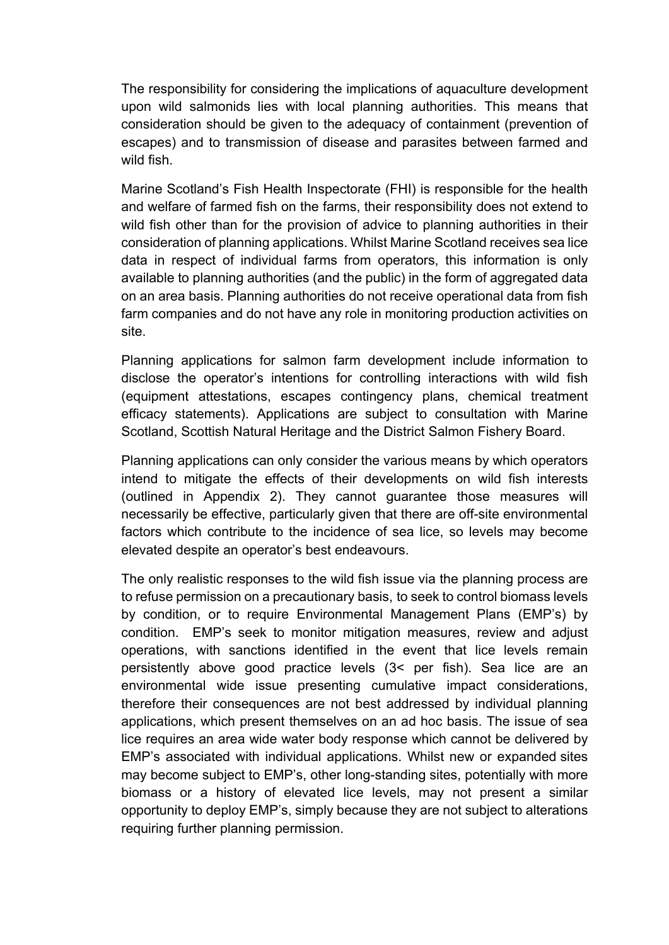The responsibility for considering the implications of aquaculture development upon wild salmonids lies with local planning authorities. This means that consideration should be given to the adequacy of containment (prevention of escapes) and to transmission of disease and parasites between farmed and wild fish.

Marine Scotland's Fish Health Inspectorate (FHI) is responsible for the health and welfare of farmed fish on the farms, their responsibility does not extend to wild fish other than for the provision of advice to planning authorities in their consideration of planning applications. Whilst Marine Scotland receives sea lice data in respect of individual farms from operators, this information is only available to planning authorities (and the public) in the form of aggregated data on an area basis. Planning authorities do not receive operational data from fish farm companies and do not have any role in monitoring production activities on site.

Planning applications for salmon farm development include information to disclose the operator's intentions for controlling interactions with wild fish (equipment attestations, escapes contingency plans, chemical treatment efficacy statements). Applications are subject to consultation with Marine Scotland, Scottish Natural Heritage and the District Salmon Fishery Board.

Planning applications can only consider the various means by which operators intend to mitigate the effects of their developments on wild fish interests (outlined in Appendix 2). They cannot guarantee those measures will necessarily be effective, particularly given that there are off-site environmental factors which contribute to the incidence of sea lice, so levels may become elevated despite an operator's best endeavours.

The only realistic responses to the wild fish issue via the planning process are to refuse permission on a precautionary basis, to seek to control biomass levels by condition, or to require Environmental Management Plans (EMP's) by condition. EMP's seek to monitor mitigation measures, review and adjust operations, with sanctions identified in the event that lice levels remain persistently above good practice levels (3< per fish). Sea lice are an environmental wide issue presenting cumulative impact considerations, therefore their consequences are not best addressed by individual planning applications, which present themselves on an ad hoc basis. The issue of sea lice requires an area wide water body response which cannot be delivered by EMP's associated with individual applications. Whilst new or expanded sites may become subject to EMP's, other long-standing sites, potentially with more biomass or a history of elevated lice levels, may not present a similar opportunity to deploy EMP's, simply because they are not subject to alterations requiring further planning permission.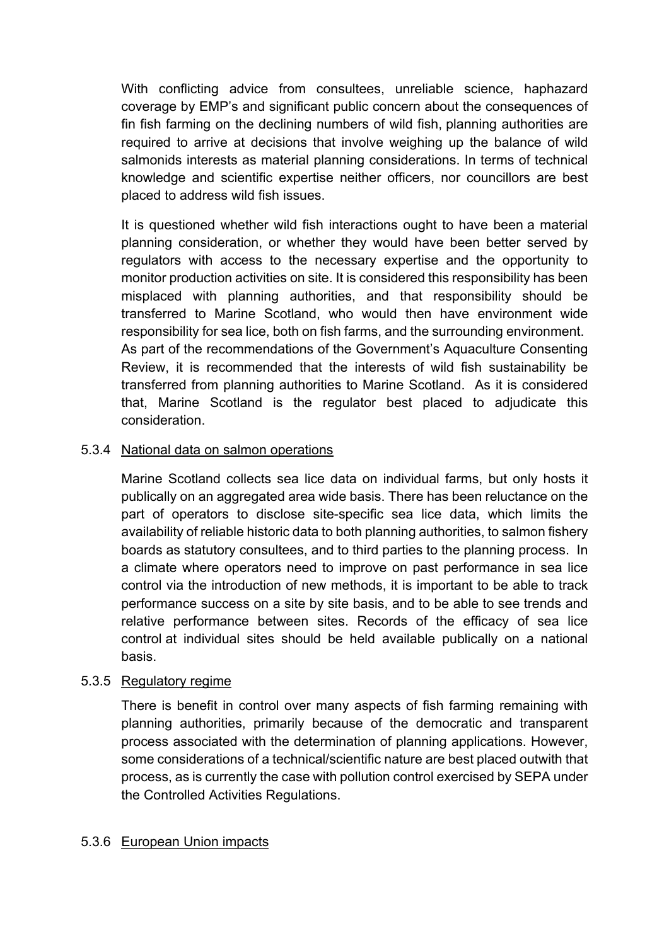With conflicting advice from consultees, unreliable science, haphazard coverage by EMP's and significant public concern about the consequences of fin fish farming on the declining numbers of wild fish, planning authorities are required to arrive at decisions that involve weighing up the balance of wild salmonids interests as material planning considerations. In terms of technical knowledge and scientific expertise neither officers, nor councillors are best placed to address wild fish issues.

It is questioned whether wild fish interactions ought to have been a material planning consideration, or whether they would have been better served by regulators with access to the necessary expertise and the opportunity to monitor production activities on site. It is considered this responsibility has been misplaced with planning authorities, and that responsibility should be transferred to Marine Scotland, who would then have environment wide responsibility for sea lice, both on fish farms, and the surrounding environment. As part of the recommendations of the Government's Aquaculture Consenting Review, it is recommended that the interests of wild fish sustainability be transferred from planning authorities to Marine Scotland. As it is considered that, Marine Scotland is the regulator best placed to adjudicate this consideration.

#### 5.3.4 National data on salmon operations

Marine Scotland collects sea lice data on individual farms, but only hosts it publically on an aggregated area wide basis. There has been reluctance on the part of operators to disclose site-specific sea lice data, which limits the availability of reliable historic data to both planning authorities, to salmon fishery boards as statutory consultees, and to third parties to the planning process. In a climate where operators need to improve on past performance in sea lice control via the introduction of new methods, it is important to be able to track performance success on a site by site basis, and to be able to see trends and relative performance between sites. Records of the efficacy of sea lice control at individual sites should be held available publically on a national basis.

#### 5.3.5 Regulatory regime

There is benefit in control over many aspects of fish farming remaining with planning authorities, primarily because of the democratic and transparent process associated with the determination of planning applications. However, some considerations of a technical/scientific nature are best placed outwith that process, as is currently the case with pollution control exercised by SEPA under the Controlled Activities Regulations.

#### 5.3.6 European Union impacts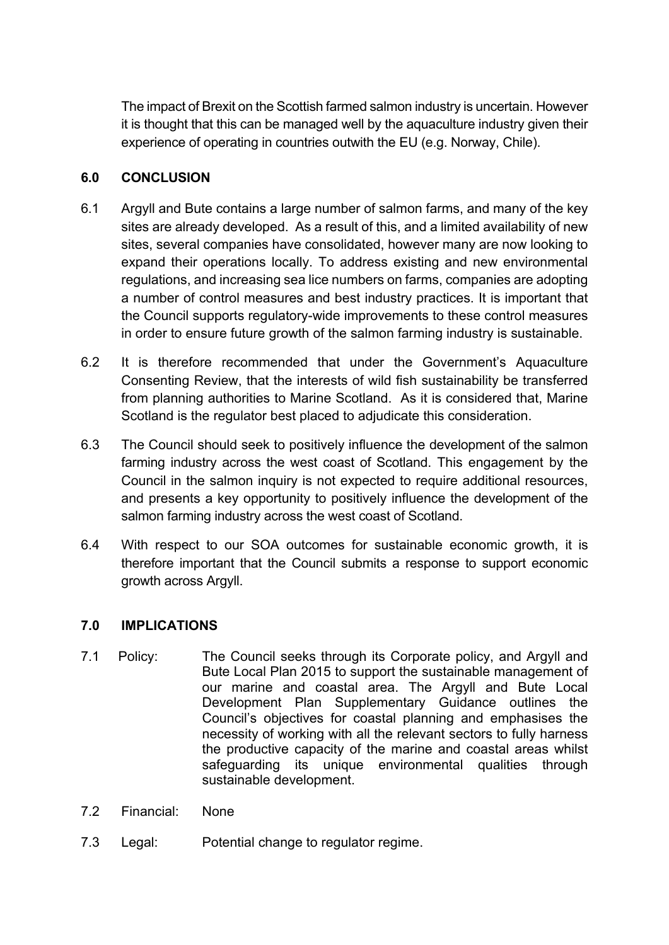The impact of Brexit on the Scottish farmed salmon industry is uncertain. However it is thought that this can be managed well by the aquaculture industry given their experience of operating in countries outwith the EU (e.g. Norway, Chile).

## **6.0 CONCLUSION**

- 6.1 Argyll and Bute contains a large number of salmon farms, and many of the key sites are already developed. As a result of this, and a limited availability of new sites, several companies have consolidated, however many are now looking to expand their operations locally. To address existing and new environmental regulations, and increasing sea lice numbers on farms, companies are adopting a number of control measures and best industry practices. It is important that the Council supports regulatory-wide improvements to these control measures in order to ensure future growth of the salmon farming industry is sustainable.
- 6.2 It is therefore recommended that under the Government's Aquaculture Consenting Review, that the interests of wild fish sustainability be transferred from planning authorities to Marine Scotland. As it is considered that, Marine Scotland is the regulator best placed to adjudicate this consideration.
- 6.3 The Council should seek to positively influence the development of the salmon farming industry across the west coast of Scotland. This engagement by the Council in the salmon inquiry is not expected to require additional resources, and presents a key opportunity to positively influence the development of the salmon farming industry across the west coast of Scotland.
- 6.4 With respect to our SOA outcomes for sustainable economic growth, it is therefore important that the Council submits a response to support economic growth across Argyll.

## **7.0 IMPLICATIONS**

- 7.1 Policy: The Council seeks through its Corporate policy, and Argyll and Bute Local Plan 2015 to support the sustainable management of our marine and coastal area. The Argyll and Bute Local Development Plan Supplementary Guidance outlines the Council's objectives for coastal planning and emphasises the necessity of working with all the relevant sectors to fully harness the productive capacity of the marine and coastal areas whilst safeguarding its unique environmental qualities through sustainable development.
- 7.2 Financial: None
- 7.3 Legal: Potential change to regulator regime.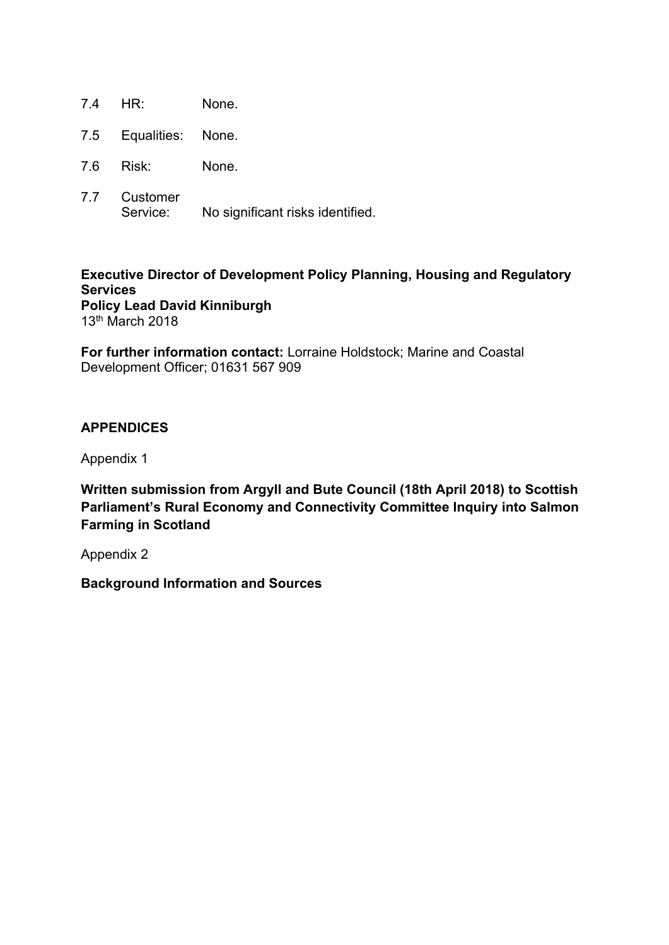- 7.4 HR: None.
- 7.5 Equalities: None.
- 7.6 Risk: None.
- 7.7 Customer Service: No significant risks identified.

**Executive Director of Development Policy Planning, Housing and Regulatory Services Policy Lead David Kinniburgh**

13th March 2018

**For further information contact:** Lorraine Holdstock; Marine and Coastal Development Officer; 01631 567 909

#### **APPENDICES**

Appendix 1

**Written submission from Argyll and Bute Council (18th April 2018) to Scottish Parliament's Rural Economy and Connectivity Committee Inquiry into Salmon Farming in Scotland**

Appendix 2

**Background Information and Sources**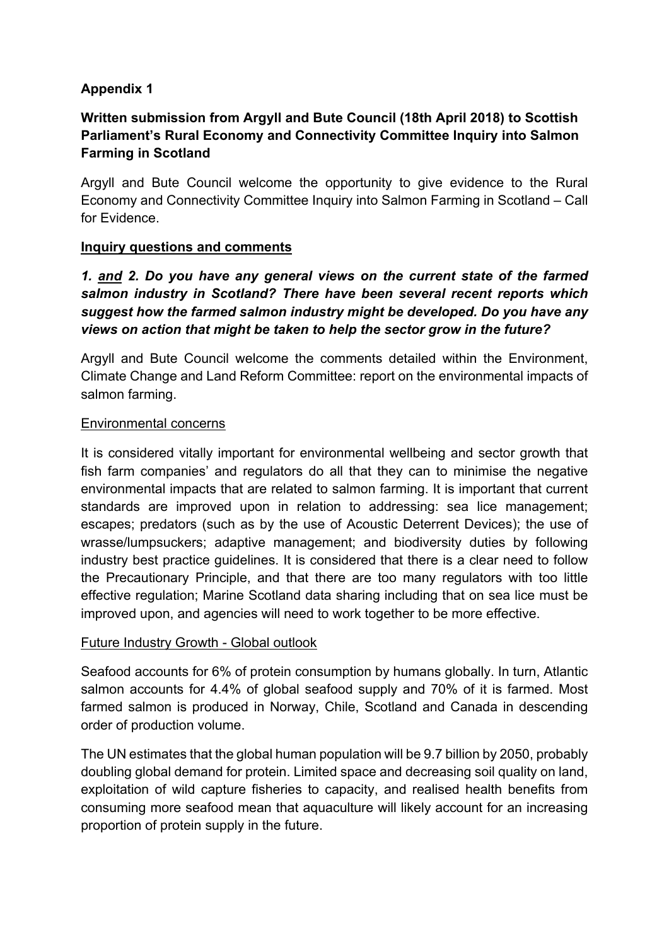# **Appendix 1**

# **Written submission from Argyll and Bute Council (18th April 2018) to Scottish Parliament's Rural Economy and Connectivity Committee Inquiry into Salmon Farming in Scotland**

Argyll and Bute Council welcome the opportunity to give evidence to the Rural Economy and Connectivity Committee Inquiry into Salmon Farming in Scotland – Call for Evidence.

## **Inquiry questions and comments**

# *1. and 2. Do you have any general views on the current state of the farmed salmon industry in Scotland? There have been several recent reports which suggest how the farmed salmon industry might be developed. Do you have any views on action that might be taken to help the sector grow in the future?*

Argyll and Bute Council welcome the comments detailed within the Environment, Climate Change and Land Reform Committee: report on the environmental impacts of salmon farming.

## Environmental concerns

It is considered vitally important for environmental wellbeing and sector growth that fish farm companies' and regulators do all that they can to minimise the negative environmental impacts that are related to salmon farming. It is important that current standards are improved upon in relation to addressing: sea lice management; escapes; predators (such as by the use of Acoustic Deterrent Devices); the use of wrasse/lumpsuckers; adaptive management; and biodiversity duties by following industry best practice guidelines. It is considered that there is a clear need to follow the Precautionary Principle, and that there are too many regulators with too little effective regulation; Marine Scotland data sharing including that on sea lice must be improved upon, and agencies will need to work together to be more effective.

## Future Industry Growth - Global outlook

Seafood accounts for 6% of protein consumption by humans globally. In turn, Atlantic salmon accounts for 4.4% of global seafood supply and 70% of it is farmed. Most farmed salmon is produced in Norway, Chile, Scotland and Canada in descending order of production volume.

The UN estimates that the global human population will be 9.7 billion by 2050, probably doubling global demand for protein. Limited space and decreasing soil quality on land, exploitation of wild capture fisheries to capacity, and realised health benefits from consuming more seafood mean that aquaculture will likely account for an increasing proportion of protein supply in the future.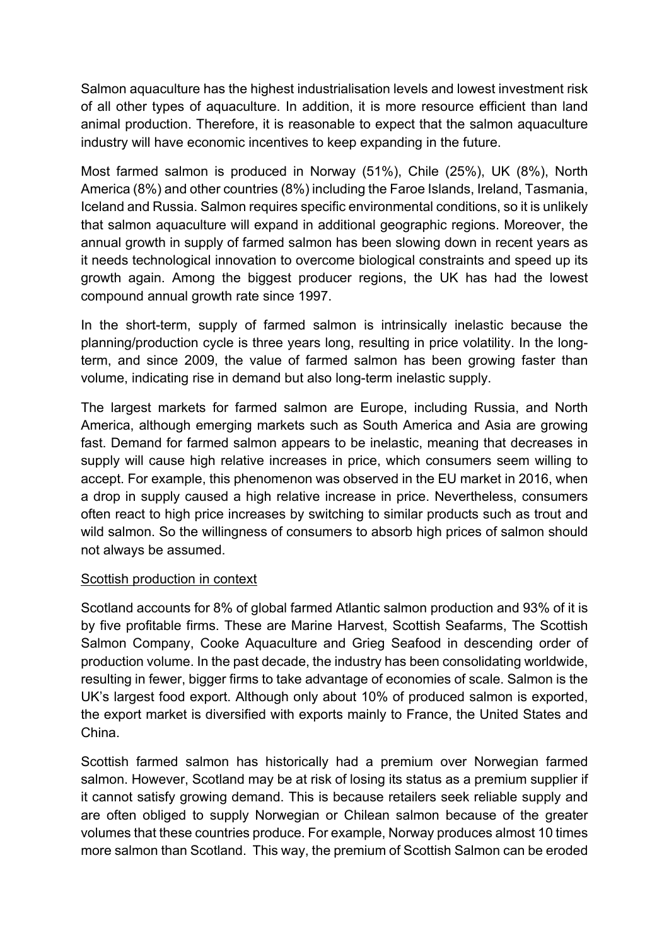Salmon aquaculture has the highest industrialisation levels and lowest investment risk of all other types of aquaculture. In addition, it is more resource efficient than land animal production. Therefore, it is reasonable to expect that the salmon aquaculture industry will have economic incentives to keep expanding in the future.

Most farmed salmon is produced in Norway (51%), Chile (25%), UK (8%), North America (8%) and other countries (8%) including the Faroe Islands, Ireland, Tasmania, Iceland and Russia. Salmon requires specific environmental conditions, so it is unlikely that salmon aquaculture will expand in additional geographic regions. Moreover, the annual growth in supply of farmed salmon has been slowing down in recent years as it needs technological innovation to overcome biological constraints and speed up its growth again. Among the biggest producer regions, the UK has had the lowest compound annual growth rate since 1997.

In the short-term, supply of farmed salmon is intrinsically inelastic because the planning/production cycle is three years long, resulting in price volatility. In the longterm, and since 2009, the value of farmed salmon has been growing faster than volume, indicating rise in demand but also long-term inelastic supply.

The largest markets for farmed salmon are Europe, including Russia, and North America, although emerging markets such as South America and Asia are growing fast. Demand for farmed salmon appears to be inelastic, meaning that decreases in supply will cause high relative increases in price, which consumers seem willing to accept. For example, this phenomenon was observed in the EU market in 2016, when a drop in supply caused a high relative increase in price. Nevertheless, consumers often react to high price increases by switching to similar products such as trout and wild salmon. So the willingness of consumers to absorb high prices of salmon should not always be assumed.

#### Scottish production in context

Scotland accounts for 8% of global farmed Atlantic salmon production and 93% of it is by five profitable firms. These are Marine Harvest, Scottish Seafarms, The Scottish Salmon Company, Cooke Aquaculture and Grieg Seafood in descending order of production volume. In the past decade, the industry has been consolidating worldwide, resulting in fewer, bigger firms to take advantage of economies of scale. Salmon is the UK's largest food export. Although only about 10% of produced salmon is exported, the export market is diversified with exports mainly to France, the United States and China.

Scottish farmed salmon has historically had a premium over Norwegian farmed salmon. However, Scotland may be at risk of losing its status as a premium supplier if it cannot satisfy growing demand. This is because retailers seek reliable supply and are often obliged to supply Norwegian or Chilean salmon because of the greater volumes that these countries produce. For example, Norway produces almost 10 times more salmon than Scotland. This way, the premium of Scottish Salmon can be eroded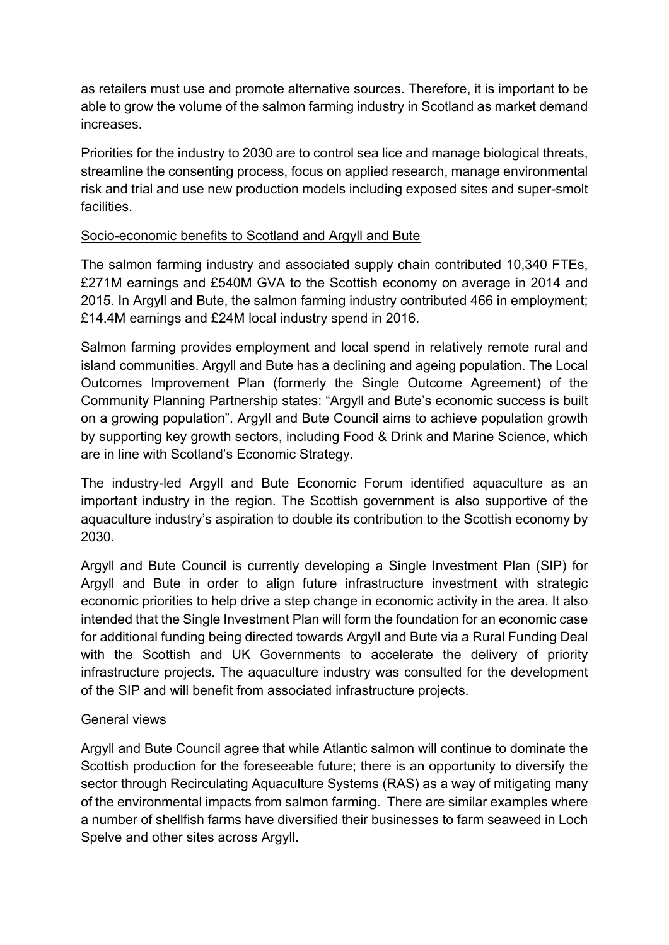as retailers must use and promote alternative sources. Therefore, it is important to be able to grow the volume of the salmon farming industry in Scotland as market demand increases.

Priorities for the industry to 2030 are to control sea lice and manage biological threats, streamline the consenting process, focus on applied research, manage environmental risk and trial and use new production models including exposed sites and super-smolt facilities.

## Socio-economic benefits to Scotland and Argyll and Bute

The salmon farming industry and associated supply chain contributed 10,340 FTEs, £271M earnings and £540M GVA to the Scottish economy on average in 2014 and 2015. In Argyll and Bute, the salmon farming industry contributed 466 in employment; £14.4M earnings and £24M local industry spend in 2016.

Salmon farming provides employment and local spend in relatively remote rural and island communities. Argyll and Bute has a declining and ageing population. The Local Outcomes Improvement Plan (formerly the Single Outcome Agreement) of the Community Planning Partnership states: "Argyll and Bute's economic success is built on a growing population". Argyll and Bute Council aims to achieve population growth by supporting key growth sectors, including Food & Drink and Marine Science, which are in line with Scotland's Economic Strategy.

The industry-led Argyll and Bute Economic Forum identified aquaculture as an important industry in the region. The Scottish government is also supportive of the aquaculture industry's aspiration to double its contribution to the Scottish economy by 2030.

Argyll and Bute Council is currently developing a Single Investment Plan (SIP) for Argyll and Bute in order to align future infrastructure investment with strategic economic priorities to help drive a step change in economic activity in the area. It also intended that the Single Investment Plan will form the foundation for an economic case for additional funding being directed towards Argyll and Bute via a Rural Funding Deal with the Scottish and UK Governments to accelerate the delivery of priority infrastructure projects. The aquaculture industry was consulted for the development of the SIP and will benefit from associated infrastructure projects.

## General views

Argyll and Bute Council agree that while Atlantic salmon will continue to dominate the Scottish production for the foreseeable future; there is an opportunity to diversify the sector through Recirculating Aquaculture Systems (RAS) as a way of mitigating many of the environmental impacts from salmon farming. There are similar examples where a number of shellfish farms have diversified their businesses to farm seaweed in Loch Spelve and other sites across Argyll.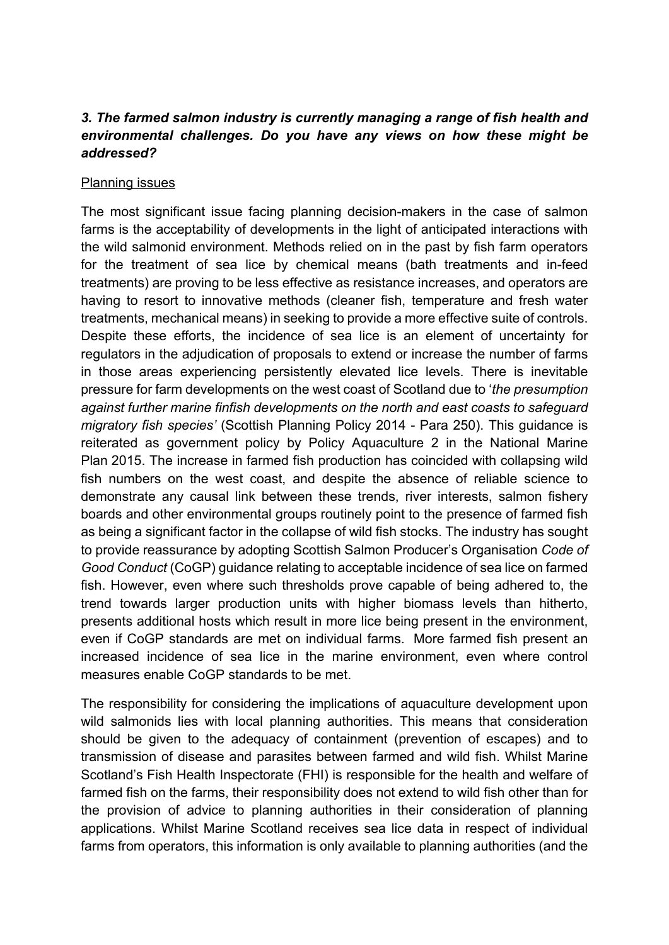## *3. The farmed salmon industry is currently managing a range of fish health and environmental challenges. Do you have any views on how these might be addressed?*

## Planning issues

The most significant issue facing planning decision-makers in the case of salmon farms is the acceptability of developments in the light of anticipated interactions with the wild salmonid environment. Methods relied on in the past by fish farm operators for the treatment of sea lice by chemical means (bath treatments and in-feed treatments) are proving to be less effective as resistance increases, and operators are having to resort to innovative methods (cleaner fish, temperature and fresh water treatments, mechanical means) in seeking to provide a more effective suite of controls. Despite these efforts, the incidence of sea lice is an element of uncertainty for regulators in the adjudication of proposals to extend or increase the number of farms in those areas experiencing persistently elevated lice levels. There is inevitable pressure for farm developments on the west coast of Scotland due to '*the presumption against further marine finfish developments on the north and east coasts to safeguard migratory fish species'* (Scottish Planning Policy 2014 - Para 250). This guidance is reiterated as government policy by Policy Aquaculture 2 in the National Marine Plan 2015. The increase in farmed fish production has coincided with collapsing wild fish numbers on the west coast, and despite the absence of reliable science to demonstrate any causal link between these trends, river interests, salmon fishery boards and other environmental groups routinely point to the presence of farmed fish as being a significant factor in the collapse of wild fish stocks. The industry has sought to provide reassurance by adopting Scottish Salmon Producer's Organisation *Code of Good Conduct* (CoGP) guidance relating to acceptable incidence of sea lice on farmed fish. However, even where such thresholds prove capable of being adhered to, the trend towards larger production units with higher biomass levels than hitherto, presents additional hosts which result in more lice being present in the environment, even if CoGP standards are met on individual farms. More farmed fish present an increased incidence of sea lice in the marine environment, even where control measures enable CoGP standards to be met.

The responsibility for considering the implications of aquaculture development upon wild salmonids lies with local planning authorities. This means that consideration should be given to the adequacy of containment (prevention of escapes) and to transmission of disease and parasites between farmed and wild fish. Whilst Marine Scotland's Fish Health Inspectorate (FHI) is responsible for the health and welfare of farmed fish on the farms, their responsibility does not extend to wild fish other than for the provision of advice to planning authorities in their consideration of planning applications. Whilst Marine Scotland receives sea lice data in respect of individual farms from operators, this information is only available to planning authorities (and the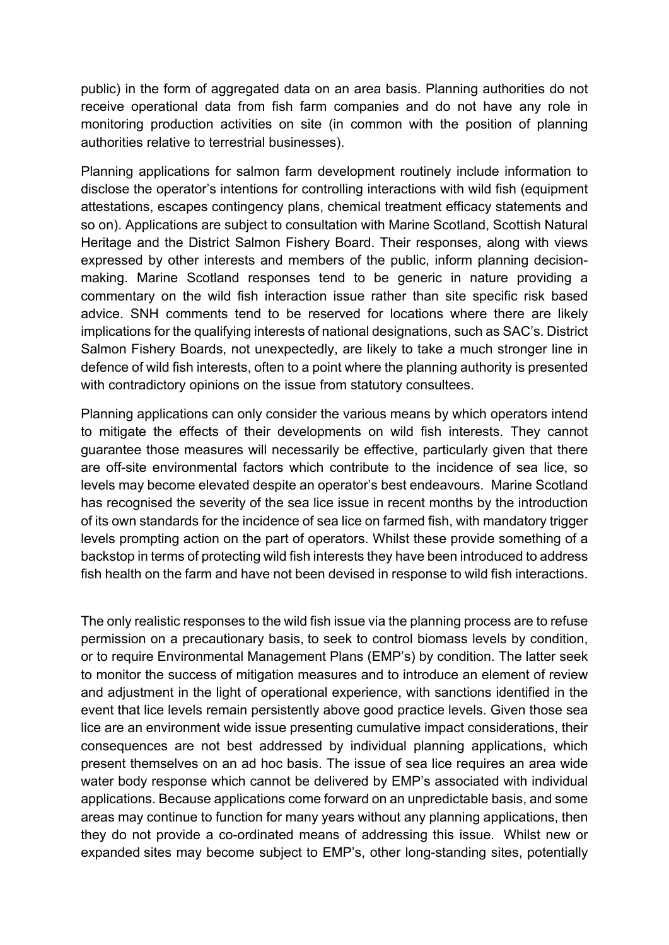public) in the form of aggregated data on an area basis. Planning authorities do not receive operational data from fish farm companies and do not have any role in monitoring production activities on site (in common with the position of planning authorities relative to terrestrial businesses).

Planning applications for salmon farm development routinely include information to disclose the operator's intentions for controlling interactions with wild fish (equipment attestations, escapes contingency plans, chemical treatment efficacy statements and so on). Applications are subject to consultation with Marine Scotland, Scottish Natural Heritage and the District Salmon Fishery Board. Their responses, along with views expressed by other interests and members of the public, inform planning decisionmaking. Marine Scotland responses tend to be generic in nature providing a commentary on the wild fish interaction issue rather than site specific risk based advice. SNH comments tend to be reserved for locations where there are likely implications for the qualifying interests of national designations, such as SAC's. District Salmon Fishery Boards, not unexpectedly, are likely to take a much stronger line in defence of wild fish interests, often to a point where the planning authority is presented with contradictory opinions on the issue from statutory consultees.

Planning applications can only consider the various means by which operators intend to mitigate the effects of their developments on wild fish interests. They cannot guarantee those measures will necessarily be effective, particularly given that there are off-site environmental factors which contribute to the incidence of sea lice, so levels may become elevated despite an operator's best endeavours. Marine Scotland has recognised the severity of the sea lice issue in recent months by the introduction of its own standards for the incidence of sea lice on farmed fish, with mandatory trigger levels prompting action on the part of operators. Whilst these provide something of a backstop in terms of protecting wild fish interests they have been introduced to address fish health on the farm and have not been devised in response to wild fish interactions.

The only realistic responses to the wild fish issue via the planning process are to refuse permission on a precautionary basis, to seek to control biomass levels by condition, or to require Environmental Management Plans (EMP's) by condition. The latter seek to monitor the success of mitigation measures and to introduce an element of review and adjustment in the light of operational experience, with sanctions identified in the event that lice levels remain persistently above good practice levels. Given those sea lice are an environment wide issue presenting cumulative impact considerations, their consequences are not best addressed by individual planning applications, which present themselves on an ad hoc basis. The issue of sea lice requires an area wide water body response which cannot be delivered by EMP's associated with individual applications. Because applications come forward on an unpredictable basis, and some areas may continue to function for many years without any planning applications, then they do not provide a co-ordinated means of addressing this issue. Whilst new or expanded sites may become subject to EMP's, other long-standing sites, potentially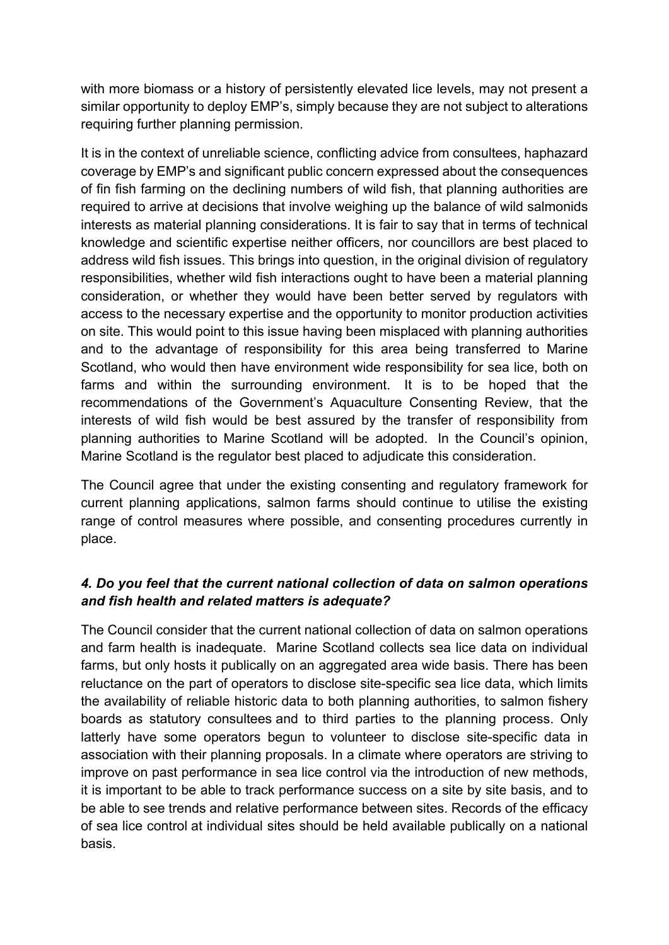with more biomass or a history of persistently elevated lice levels, may not present a similar opportunity to deploy EMP's, simply because they are not subject to alterations requiring further planning permission.

It is in the context of unreliable science, conflicting advice from consultees, haphazard coverage by EMP's and significant public concern expressed about the consequences of fin fish farming on the declining numbers of wild fish, that planning authorities are required to arrive at decisions that involve weighing up the balance of wild salmonids interests as material planning considerations. It is fair to say that in terms of technical knowledge and scientific expertise neither officers, nor councillors are best placed to address wild fish issues. This brings into question, in the original division of regulatory responsibilities, whether wild fish interactions ought to have been a material planning consideration, or whether they would have been better served by regulators with access to the necessary expertise and the opportunity to monitor production activities on site. This would point to this issue having been misplaced with planning authorities and to the advantage of responsibility for this area being transferred to Marine Scotland, who would then have environment wide responsibility for sea lice, both on farms and within the surrounding environment. It is to be hoped that the recommendations of the Government's Aquaculture Consenting Review, that the interests of wild fish would be best assured by the transfer of responsibility from planning authorities to Marine Scotland will be adopted. In the Council's opinion, Marine Scotland is the regulator best placed to adjudicate this consideration.

The Council agree that under the existing consenting and regulatory framework for current planning applications, salmon farms should continue to utilise the existing range of control measures where possible, and consenting procedures currently in place.

# *4. Do you feel that the current national collection of data on salmon operations and fish health and related matters is adequate?*

The Council consider that the current national collection of data on salmon operations and farm health is inadequate. Marine Scotland collects sea lice data on individual farms, but only hosts it publically on an aggregated area wide basis. There has been reluctance on the part of operators to disclose site-specific sea lice data, which limits the availability of reliable historic data to both planning authorities, to salmon fishery boards as statutory consultees and to third parties to the planning process. Only latterly have some operators begun to volunteer to disclose site-specific data in association with their planning proposals. In a climate where operators are striving to improve on past performance in sea lice control via the introduction of new methods, it is important to be able to track performance success on a site by site basis, and to be able to see trends and relative performance between sites. Records of the efficacy of sea lice control at individual sites should be held available publically on a national basis.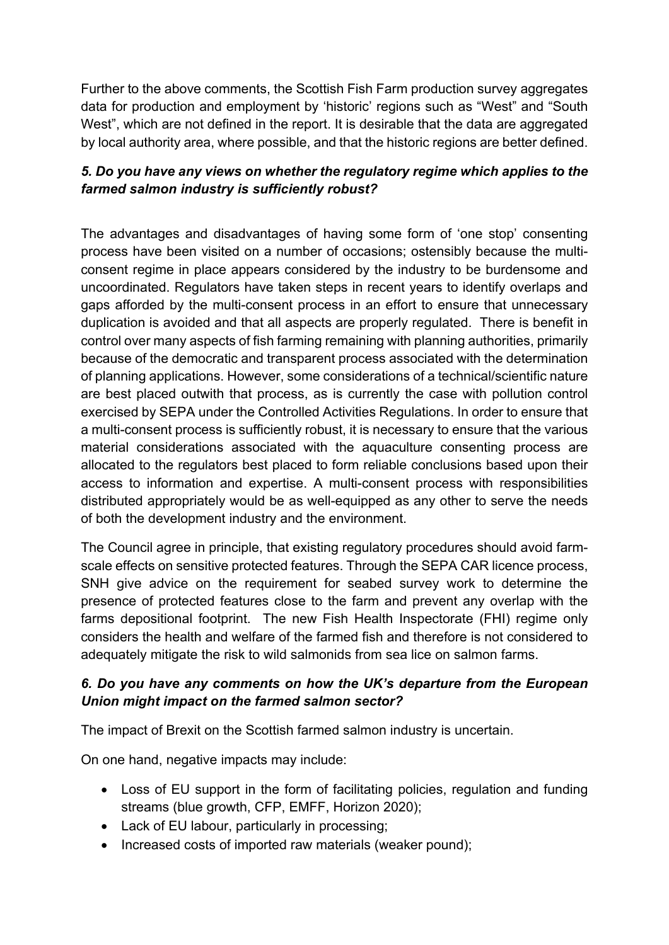Further to the above comments, the Scottish Fish Farm production survey aggregates data for production and employment by 'historic' regions such as "West" and "South West", which are not defined in the report. It is desirable that the data are aggregated by local authority area, where possible, and that the historic regions are better defined.

# *5. Do you have any views on whether the regulatory regime which applies to the farmed salmon industry is sufficiently robust?*

The advantages and disadvantages of having some form of 'one stop' consenting process have been visited on a number of occasions; ostensibly because the multiconsent regime in place appears considered by the industry to be burdensome and uncoordinated. Regulators have taken steps in recent years to identify overlaps and gaps afforded by the multi-consent process in an effort to ensure that unnecessary duplication is avoided and that all aspects are properly regulated. There is benefit in control over many aspects of fish farming remaining with planning authorities, primarily because of the democratic and transparent process associated with the determination of planning applications. However, some considerations of a technical/scientific nature are best placed outwith that process, as is currently the case with pollution control exercised by SEPA under the Controlled Activities Regulations. In order to ensure that a multi-consent process is sufficiently robust, it is necessary to ensure that the various material considerations associated with the aquaculture consenting process are allocated to the regulators best placed to form reliable conclusions based upon their access to information and expertise. A multi-consent process with responsibilities distributed appropriately would be as well-equipped as any other to serve the needs of both the development industry and the environment.

The Council agree in principle, that existing regulatory procedures should avoid farmscale effects on sensitive protected features. Through the SEPA CAR licence process, SNH give advice on the requirement for seabed survey work to determine the presence of protected features close to the farm and prevent any overlap with the farms depositional footprint. The new Fish Health Inspectorate (FHI) regime only considers the health and welfare of the farmed fish and therefore is not considered to adequately mitigate the risk to wild salmonids from sea lice on salmon farms.

# *6. Do you have any comments on how the UK's departure from the European Union might impact on the farmed salmon sector?*

The impact of Brexit on the Scottish farmed salmon industry is uncertain.

On one hand, negative impacts may include:

- Loss of EU support in the form of facilitating policies, regulation and funding streams (blue growth, CFP, EMFF, Horizon 2020);
- Lack of EU labour, particularly in processing;
- Increased costs of imported raw materials (weaker pound):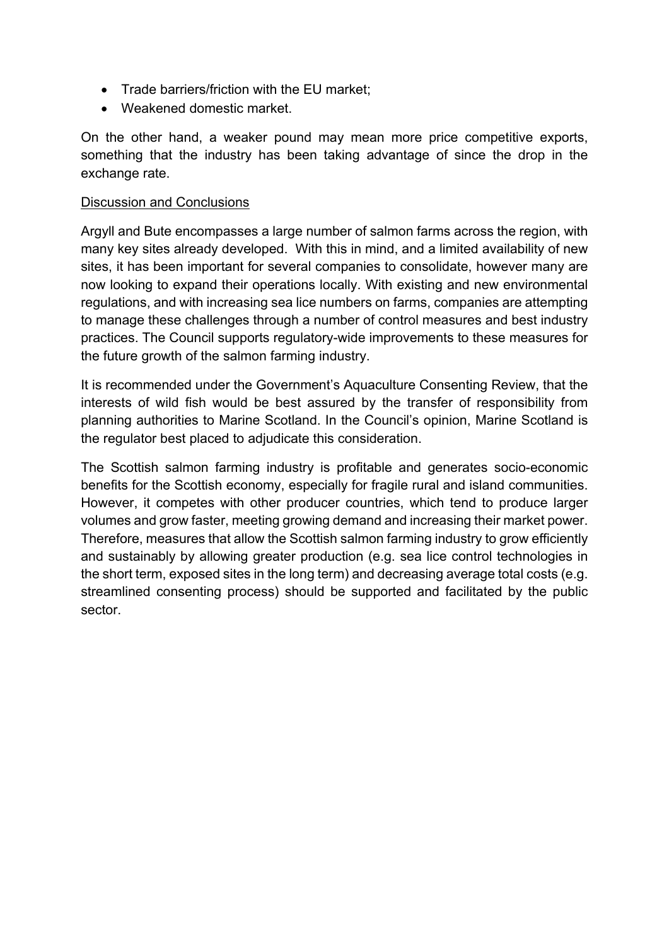- Trade barriers/friction with the EU market;
- Weakened domestic market

On the other hand, a weaker pound may mean more price competitive exports. something that the industry has been taking advantage of since the drop in the exchange rate.

#### Discussion and Conclusions

Argyll and Bute encompasses a large number of salmon farms across the region, with many key sites already developed. With this in mind, and a limited availability of new sites, it has been important for several companies to consolidate, however many are now looking to expand their operations locally. With existing and new environmental regulations, and with increasing sea lice numbers on farms, companies are attempting to manage these challenges through a number of control measures and best industry practices. The Council supports regulatory-wide improvements to these measures for the future growth of the salmon farming industry.

It is recommended under the Government's Aquaculture Consenting Review, that the interests of wild fish would be best assured by the transfer of responsibility from planning authorities to Marine Scotland. In the Council's opinion, Marine Scotland is the regulator best placed to adjudicate this consideration.

The Scottish salmon farming industry is profitable and generates socio-economic benefits for the Scottish economy, especially for fragile rural and island communities. However, it competes with other producer countries, which tend to produce larger volumes and grow faster, meeting growing demand and increasing their market power. Therefore, measures that allow the Scottish salmon farming industry to grow efficiently and sustainably by allowing greater production (e.g. sea lice control technologies in the short term, exposed sites in the long term) and decreasing average total costs (e.g. streamlined consenting process) should be supported and facilitated by the public sector.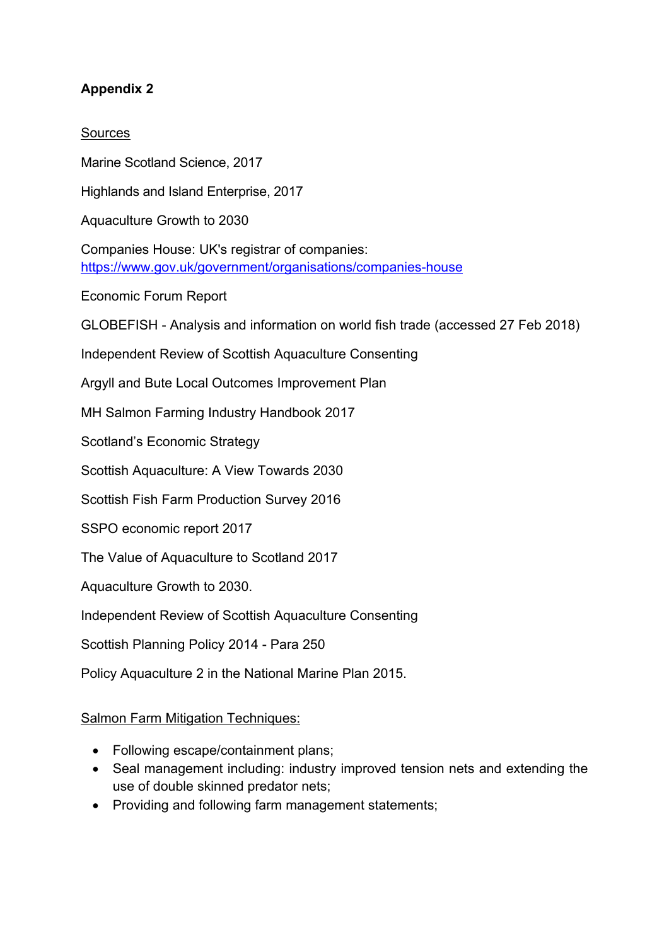# **Appendix 2**

## **Sources**

Marine Scotland Science, 2017

Highlands and Island Enterprise, 2017

Aquaculture Growth to 2030

Companies House: UK's registrar of companies: <https://www.gov.uk/government/organisations/companies-house>

Economic Forum Report

GLOBEFISH - Analysis and information on world fish trade (accessed 27 Feb 2018)

Independent Review of Scottish Aquaculture Consenting

Argyll and Bute Local Outcomes Improvement Plan

MH Salmon Farming Industry Handbook 2017

Scotland's Economic Strategy

Scottish Aquaculture: A View Towards 2030

Scottish Fish Farm Production Survey 2016

SSPO economic report 2017

The Value of Aquaculture to Scotland 2017

Aquaculture Growth to 2030.

Independent Review of Scottish Aquaculture Consenting

Scottish Planning Policy 2014 - Para 250

Policy Aquaculture 2 in the National Marine Plan 2015.

## Salmon Farm Mitigation Techniques:

- Following escape/containment plans;
- Seal management including: industry improved tension nets and extending the use of double skinned predator nets;
- Providing and following farm management statements;